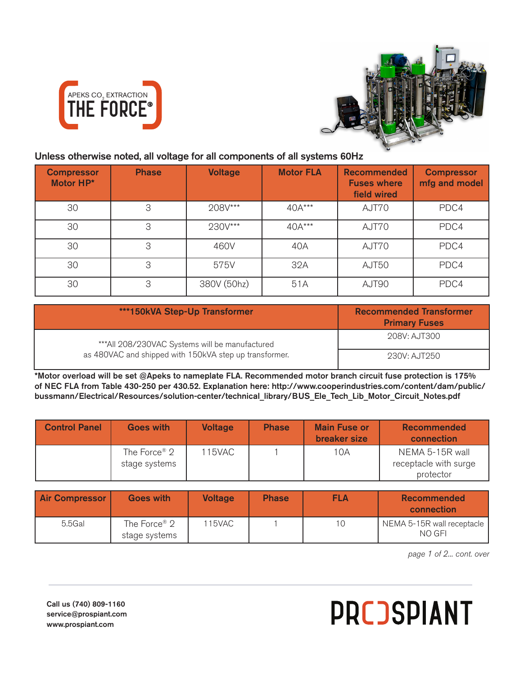



## Unless otherwise noted, all voltage for all components of all systems 60Hz

| <b>Compressor</b><br>Motor HP* | <b>Phase</b> | <b>Voltage</b> | <b>Motor FLA</b> | <b>Recommended</b><br><b>Fuses where</b><br>field wired | <b>Compressor</b><br>mfg and model |
|--------------------------------|--------------|----------------|------------------|---------------------------------------------------------|------------------------------------|
| 30                             | 3            | 208V***        | 40A***           | AJT70                                                   | PDC4                               |
| 30                             | 3            | 230V***        | 40A***           | AJT70                                                   | PDC4                               |
| 30                             | 3            | 460V           | 40A              | AJT70                                                   | PDC4                               |
| 30                             | 3            | 575V           | 32A              | AJT50                                                   | PDC4                               |
| 30                             | 3            | 380V (50hz)    | 51A              | AJT90                                                   | PDC4                               |

| ***150kVA Step-Up Transformer                          | <b>Recommended Transformer</b><br><b>Primary Fuses</b> |
|--------------------------------------------------------|--------------------------------------------------------|
| ***All 208/230VAC Systems will be manufactured         | 208V: AJT300                                           |
| as 480VAC and shipped with 150kVA step up transformer. | 230V: AJT250                                           |

\*Motor overload will be set @Apeks to nameplate FLA. Recommended motor branch circuit fuse protection is 175% of NEC FLA from Table 430-250 per 430.52. Explanation here: http://www.cooperindustries.com/content/dam/public/ bussmann/Electrical/Resources/solution-center/technical\_library/BUS\_Ele\_Tech\_Lib\_Motor\_Circuit\_Notes.pdf

| <b>Control Panel</b> | <b>Goes with</b>                          | <b>Voltage</b> | <b>Phase</b> | <b>Main Fuse or</b><br>breaker size | <b>Recommended</b><br>connection         |
|----------------------|-------------------------------------------|----------------|--------------|-------------------------------------|------------------------------------------|
|                      | The Force <sup>®</sup> 2<br>stage systems | 115VAC         |              | 10A                                 | NEMA 5-15R wall<br>receptacle with surge |
|                      |                                           |                |              |                                     | protector                                |

| <b>Air Compressor</b> | <b>Goes with</b>                          | <b>Voltage</b> | <b>Phase</b> | <b>FLA</b> | <b>Recommended</b><br>connection     |
|-----------------------|-------------------------------------------|----------------|--------------|------------|--------------------------------------|
| $5.5$ Gal             | The Force <sup>®</sup> 2<br>stage systems | 115VAC         |              | 10         | NEMA 5-15R wall receptacle<br>NO GFI |

*page 1 of 2... cont. over*

Call us (740) 809-1160 service@prospiant.com www.prospiant.com

## **PRCOSPIANT**